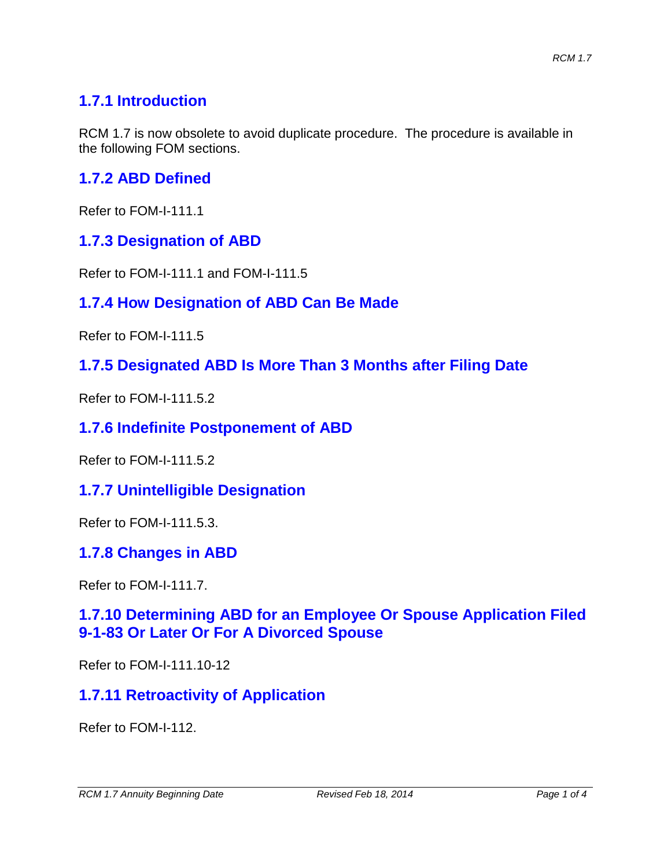## **1.7.1 Introduction**

RCM 1.7 is now obsolete to avoid duplicate procedure. The procedure is available in the following FOM sections.

## **1.7.2 ABD Defined**

Refer to FOM-I-111.1

## **1.7.3 Designation of ABD**

Refer to FOM-I-111.1 and FOM-I-111.5

## **1.7.4 How Designation of ABD Can Be Made**

Refer to FOM-I-111.5

#### **1.7.5 Designated ABD Is More Than 3 Months after Filing Date**

Refer to FOM-I-111.5.2

#### **1.7.6 Indefinite Postponement of ABD**

Refer to FOM-I-111.5.2

### **1.7.7 Unintelligible Designation**

Refer to FOM-I-111.5.3.

### **1.7.8 Changes in ABD**

Refer to FOM-I-111.7.

### **1.7.10 Determining ABD for an Employee Or Spouse Application Filed 9-1-83 Or Later Or For A Divorced Spouse**

Refer to FOM-I-111.10-12

### **1.7.11 Retroactivity of Application**

Refer to FOM-I-112.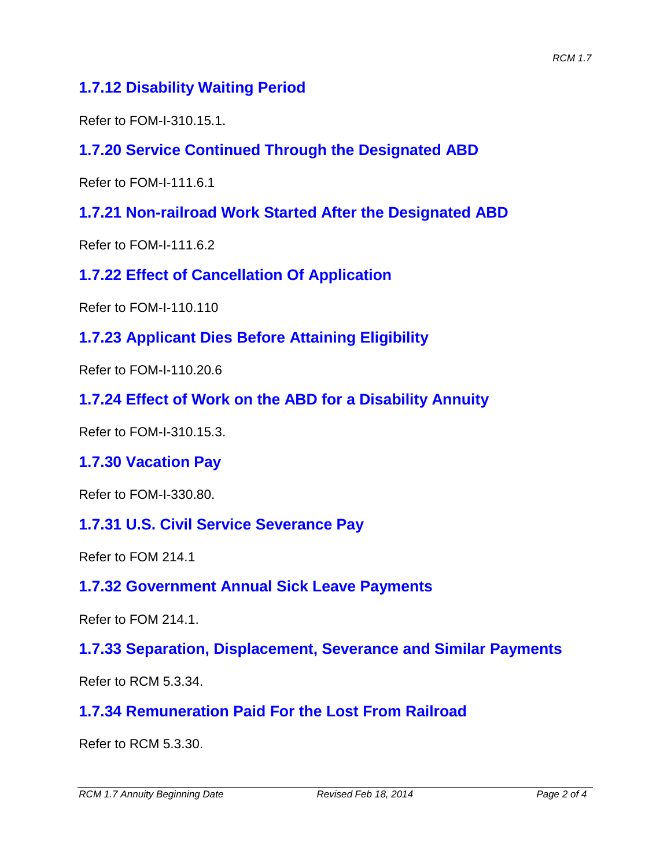## **1.7.12 Disability Waiting Period**

Refer to FOM-I-310.15.1.

## **1.7.20 Service Continued Through the Designated ABD**

Refer to FOM-I-111.6.1

## **1.7.21 Non-railroad Work Started After the Designated ABD**

Refer to FOM-I-111.6.2

**1.7.22 Effect of Cancellation Of Application**

Refer to FOM-I-110.110

**1.7.23 Applicant Dies Before Attaining Eligibility**

Refer to FOM-I-110.20.6

**1.7.24 Effect of Work on the ABD for a Disability Annuity**

Refer to FOM-I-310.15.3.

**1.7.30 Vacation Pay**

Refer to FOM-I-330.80.

### **1.7.31 U.S. Civil Service Severance Pay**

Refer to FOM 214.1

## **1.7.32 Government Annual Sick Leave Payments**

Refer to FOM 214.1.

## **1.7.33 Separation, Displacement, Severance and Similar Payments**

Refer to RCM 5.3.34.

## **1.7.34 Remuneration Paid For the Lost From Railroad**

Refer to RCM 5.3.30.